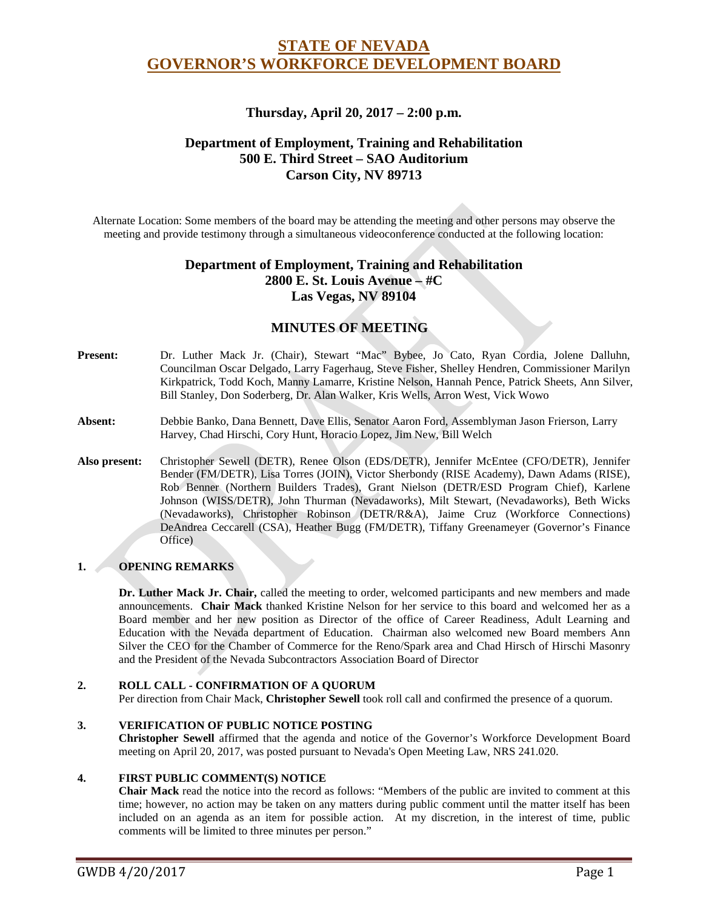# **STATE OF NEVADA GOVERNOR'S WORKFORCE DEVELOPMENT BOARD**

# **Thursday, April 20, 2017 – 2:00 p.m.**

# **Department of Employment, Training and Rehabilitation 500 E. Third Street – SAO Auditorium Carson City, NV 89713**

Alternate Location: Some members of the board may be attending the meeting and other persons may observe the meeting and provide testimony through a simultaneous videoconference conducted at the following location:

# **Department of Employment, Training and Rehabilitation 2800 E. St. Louis Avenue – #C Las Vegas, NV 89104**

# **MINUTES OF MEETING**

- **Present:** Dr. Luther Mack Jr. (Chair), Stewart "Mac" Bybee, Jo Cato, Ryan Cordia, Jolene Dalluhn, Councilman Oscar Delgado, Larry Fagerhaug, Steve Fisher, Shelley Hendren, Commissioner Marilyn Kirkpatrick, Todd Koch, Manny Lamarre, Kristine Nelson, Hannah Pence, Patrick Sheets, Ann Silver, Bill Stanley, Don Soderberg, Dr. Alan Walker, Kris Wells, Arron West, Vick Wowo
- **Absent:** Debbie Banko, Dana Bennett, Dave Ellis, Senator Aaron Ford, Assemblyman Jason Frierson, Larry Harvey, Chad Hirschi, Cory Hunt, Horacio Lopez, Jim New, Bill Welch
- **Also present:** Christopher Sewell (DETR), Renee Olson (EDS/DETR), Jennifer McEntee (CFO/DETR), Jennifer Bender (FM/DETR), Lisa Torres (JOIN), Victor Sherbondy (RISE Academy), Dawn Adams (RISE), Rob Benner (Northern Builders Trades), Grant Nielson (DETR/ESD Program Chief), Karlene Johnson (WISS/DETR), John Thurman (Nevadaworks), Milt Stewart, (Nevadaworks), Beth Wicks (Nevadaworks), Christopher Robinson (DETR/R&A), Jaime Cruz (Workforce Connections) DeAndrea Ceccarell (CSA), Heather Bugg (FM/DETR), Tiffany Greenameyer (Governor's Finance Office)

### **1. OPENING REMARKS**

**Dr. Luther Mack Jr. Chair,** called the meeting to order, welcomed participants and new members and made announcements. **Chair Mack** thanked Kristine Nelson for her service to this board and welcomed her as a Board member and her new position as Director of the office of Career Readiness, Adult Learning and Education with the Nevada department of Education. Chairman also welcomed new Board members Ann Silver the CEO for the Chamber of Commerce for the Reno/Spark area and Chad Hirsch of Hirschi Masonry and the President of the Nevada Subcontractors Association Board of Director

#### **2. ROLL CALL - CONFIRMATION OF A QUORUM**

Per direction from Chair Mack, **Christopher Sewell** took roll call and confirmed the presence of a quorum.

#### **3. VERIFICATION OF PUBLIC NOTICE POSTING**

**Christopher Sewell** affirmed that the agenda and notice of the Governor's Workforce Development Board meeting on April 20, 2017, was posted pursuant to Nevada's Open Meeting Law, NRS 241.020.

#### **4. FIRST PUBLIC COMMENT(S) NOTICE**

**Chair Mack** read the notice into the record as follows: "Members of the public are invited to comment at this time; however, no action may be taken on any matters during public comment until the matter itself has been included on an agenda as an item for possible action. At my discretion, in the interest of time, public comments will be limited to three minutes per person."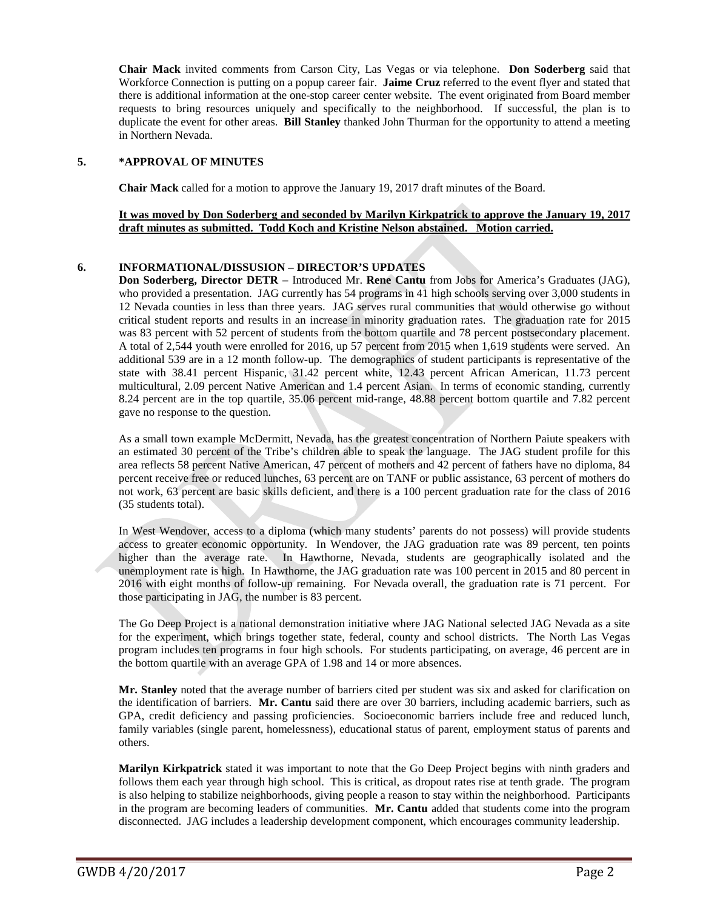**Chair Mack** invited comments from Carson City, Las Vegas or via telephone. **Don Soderberg** said that Workforce Connection is putting on a popup career fair. **Jaime Cruz** referred to the event flyer and stated that there is additional information at the one-stop career center website. The event originated from Board member requests to bring resources uniquely and specifically to the neighborhood. If successful, the plan is to duplicate the event for other areas. **Bill Stanley** thanked John Thurman for the opportunity to attend a meeting in Northern Nevada.

### **5. \*APPROVAL OF MINUTES**

**Chair Mack** called for a motion to approve the January 19, 2017 draft minutes of the Board.

### **It was moved by Don Soderberg and seconded by Marilyn Kirkpatrick to approve the January 19, 2017 draft minutes as submitted. Todd Koch and Kristine Nelson abstained. Motion carried.**

### **6. INFORMATIONAL/DISSUSION – DIRECTOR'S UPDATES**

**Don Soderberg, Director DETR –** Introduced Mr. **Rene Cantu** from Jobs for America's Graduates (JAG), who provided a presentation. JAG currently has 54 programs in 41 high schools serving over 3,000 students in 12 Nevada counties in less than three years. JAG serves rural communities that would otherwise go without critical student reports and results in an increase in minority graduation rates. The graduation rate for 2015 was 83 percent with 52 percent of students from the bottom quartile and 78 percent postsecondary placement. A total of 2,544 youth were enrolled for 2016, up 57 percent from 2015 when 1,619 students were served. An additional 539 are in a 12 month follow-up. The demographics of student participants is representative of the state with 38.41 percent Hispanic, 31.42 percent white, 12.43 percent African American, 11.73 percent multicultural, 2.09 percent Native American and 1.4 percent Asian. In terms of economic standing, currently 8.24 percent are in the top quartile, 35.06 percent mid-range, 48.88 percent bottom quartile and 7.82 percent gave no response to the question.

As a small town example McDermitt, Nevada, has the greatest concentration of Northern Paiute speakers with an estimated 30 percent of the Tribe's children able to speak the language. The JAG student profile for this area reflects 58 percent Native American, 47 percent of mothers and 42 percent of fathers have no diploma, 84 percent receive free or reduced lunches, 63 percent are on TANF or public assistance, 63 percent of mothers do not work, 63 percent are basic skills deficient, and there is a 100 percent graduation rate for the class of 2016 (35 students total).

In West Wendover, access to a diploma (which many students' parents do not possess) will provide students access to greater economic opportunity. In Wendover, the JAG graduation rate was 89 percent, ten points higher than the average rate. In Hawthorne, Nevada, students are geographically isolated and the unemployment rate is high. In Hawthorne, the JAG graduation rate was 100 percent in 2015 and 80 percent in 2016 with eight months of follow-up remaining. For Nevada overall, the graduation rate is 71 percent. For those participating in JAG, the number is 83 percent.

The Go Deep Project is a national demonstration initiative where JAG National selected JAG Nevada as a site for the experiment, which brings together state, federal, county and school districts. The North Las Vegas program includes ten programs in four high schools. For students participating, on average, 46 percent are in the bottom quartile with an average GPA of 1.98 and 14 or more absences.

**Mr. Stanley** noted that the average number of barriers cited per student was six and asked for clarification on the identification of barriers. **Mr. Cantu** said there are over 30 barriers, including academic barriers, such as GPA, credit deficiency and passing proficiencies. Socioeconomic barriers include free and reduced lunch, family variables (single parent, homelessness), educational status of parent, employment status of parents and others.

**Marilyn Kirkpatrick** stated it was important to note that the Go Deep Project begins with ninth graders and follows them each year through high school. This is critical, as dropout rates rise at tenth grade. The program is also helping to stabilize neighborhoods, giving people a reason to stay within the neighborhood. Participants in the program are becoming leaders of communities. **Mr. Cantu** added that students come into the program disconnected. JAG includes a leadership development component, which encourages community leadership.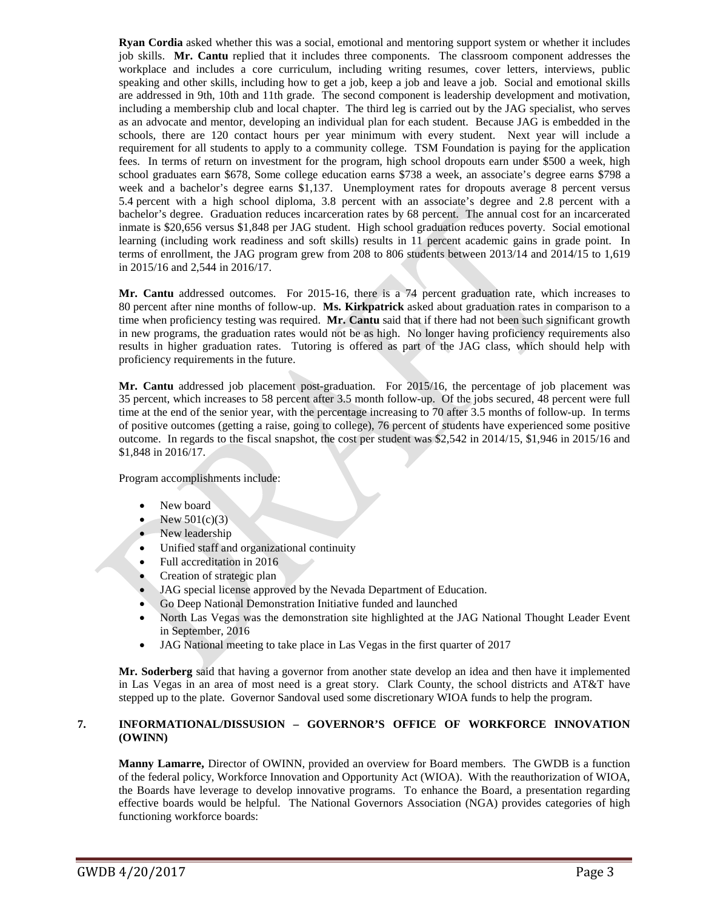**Ryan Cordia** asked whether this was a social, emotional and mentoring support system or whether it includes job skills. **Mr. Cantu** replied that it includes three components. The classroom component addresses the workplace and includes a core curriculum, including writing resumes, cover letters, interviews, public speaking and other skills, including how to get a job, keep a job and leave a job. Social and emotional skills are addressed in 9th, 10th and 11th grade. The second component is leadership development and motivation, including a membership club and local chapter. The third leg is carried out by the JAG specialist, who serves as an advocate and mentor, developing an individual plan for each student. Because JAG is embedded in the schools, there are 120 contact hours per year minimum with every student. Next year will include a requirement for all students to apply to a community college. TSM Foundation is paying for the application fees. In terms of return on investment for the program, high school dropouts earn under \$500 a week, high school graduates earn \$678, Some college education earns \$738 a week, an associate's degree earns \$798 a week and a bachelor's degree earns \$1,137. Unemployment rates for dropouts average 8 percent versus 5.4 percent with a high school diploma, 3.8 percent with an associate's degree and 2.8 percent with a bachelor's degree. Graduation reduces incarceration rates by 68 percent. The annual cost for an incarcerated inmate is \$20,656 versus \$1,848 per JAG student. High school graduation reduces poverty. Social emotional learning (including work readiness and soft skills) results in 11 percent academic gains in grade point. In terms of enrollment, the JAG program grew from 208 to 806 students between 2013/14 and 2014/15 to 1,619 in 2015/16 and 2,544 in 2016/17.

**Mr. Cantu** addressed outcomes. For 2015-16, there is a 74 percent graduation rate, which increases to 80 percent after nine months of follow-up. **Ms. Kirkpatrick** asked about graduation rates in comparison to a time when proficiency testing was required. **Mr. Cantu** said that if there had not been such significant growth in new programs, the graduation rates would not be as high. No longer having proficiency requirements also results in higher graduation rates. Tutoring is offered as part of the JAG class, which should help with proficiency requirements in the future.

**Mr. Cantu** addressed job placement post-graduation. For 2015/16, the percentage of job placement was 35 percent, which increases to 58 percent after 3.5 month follow-up. Of the jobs secured, 48 percent were full time at the end of the senior year, with the percentage increasing to 70 after 3.5 months of follow-up. In terms of positive outcomes (getting a raise, going to college), 76 percent of students have experienced some positive outcome. In regards to the fiscal snapshot, the cost per student was \$2,542 in 2014/15, \$1,946 in 2015/16 and \$1,848 in 2016/17.

Program accomplishments include:

- New board
- New  $501(c)(3)$
- New leadership
- Unified staff and organizational continuity
- Full accreditation in 2016
- Creation of strategic plan
- JAG special license approved by the Nevada Department of Education.
- Go Deep National Demonstration Initiative funded and launched
- North Las Vegas was the demonstration site highlighted at the JAG National Thought Leader Event in September, 2016
- JAG National meeting to take place in Las Vegas in the first quarter of 2017

**Mr. Soderberg** said that having a governor from another state develop an idea and then have it implemented in Las Vegas in an area of most need is a great story. Clark County, the school districts and AT&T have stepped up to the plate. Governor Sandoval used some discretionary WIOA funds to help the program.

#### **7. INFORMATIONAL/DISSUSION – GOVERNOR'S OFFICE OF WORKFORCE INNOVATION (OWINN)**

**Manny Lamarre,** Director of OWINN, provided an overview for Board members. The GWDB is a function of the federal policy, Workforce Innovation and Opportunity Act (WIOA). With the reauthorization of WIOA, the Boards have leverage to develop innovative programs. To enhance the Board, a presentation regarding effective boards would be helpful. The National Governors Association (NGA) provides categories of high functioning workforce boards: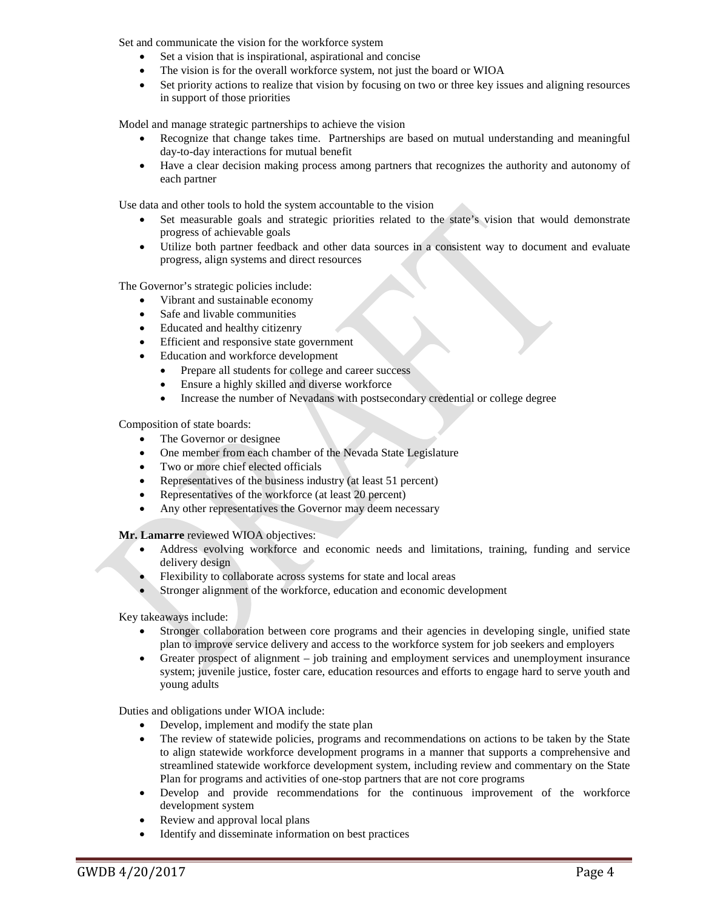Set and communicate the vision for the workforce system

- Set a vision that is inspirational, aspirational and concise
- The vision is for the overall workforce system, not just the board or WIOA
- Set priority actions to realize that vision by focusing on two or three key issues and aligning resources in support of those priorities

Model and manage strategic partnerships to achieve the vision

- Recognize that change takes time. Partnerships are based on mutual understanding and meaningful day-to-day interactions for mutual benefit
- Have a clear decision making process among partners that recognizes the authority and autonomy of each partner

Use data and other tools to hold the system accountable to the vision

- Set measurable goals and strategic priorities related to the state's vision that would demonstrate progress of achievable goals
- Utilize both partner feedback and other data sources in a consistent way to document and evaluate progress, align systems and direct resources

The Governor's strategic policies include:

- Vibrant and sustainable economy
- Safe and livable communities
- Educated and healthy citizenry
- Efficient and responsive state government
- Education and workforce development
	- Prepare all students for college and career success
	- Ensure a highly skilled and diverse workforce
	- Increase the number of Nevadans with postsecondary credential or college degree

Composition of state boards:

- The Governor or designee
- One member from each chamber of the Nevada State Legislature
- Two or more chief elected officials
- Representatives of the business industry (at least 51 percent)
- Representatives of the workforce (at least 20 percent)
- Any other representatives the Governor may deem necessary

**Mr. Lamarre** reviewed WIOA objectives:

- Address evolving workforce and economic needs and limitations, training, funding and service delivery design
- Flexibility to collaborate across systems for state and local areas
- Stronger alignment of the workforce, education and economic development

Key takeaways include:

- Stronger collaboration between core programs and their agencies in developing single, unified state plan to improve service delivery and access to the workforce system for job seekers and employers
- Greater prospect of alignment job training and employment services and unemployment insurance system; juvenile justice, foster care, education resources and efforts to engage hard to serve youth and young adults

Duties and obligations under WIOA include:

- Develop, implement and modify the state plan
- The review of statewide policies, programs and recommendations on actions to be taken by the State to align statewide workforce development programs in a manner that supports a comprehensive and streamlined statewide workforce development system, including review and commentary on the State Plan for programs and activities of one-stop partners that are not core programs
- Develop and provide recommendations for the continuous improvement of the workforce development system
- Review and approval local plans
- Identify and disseminate information on best practices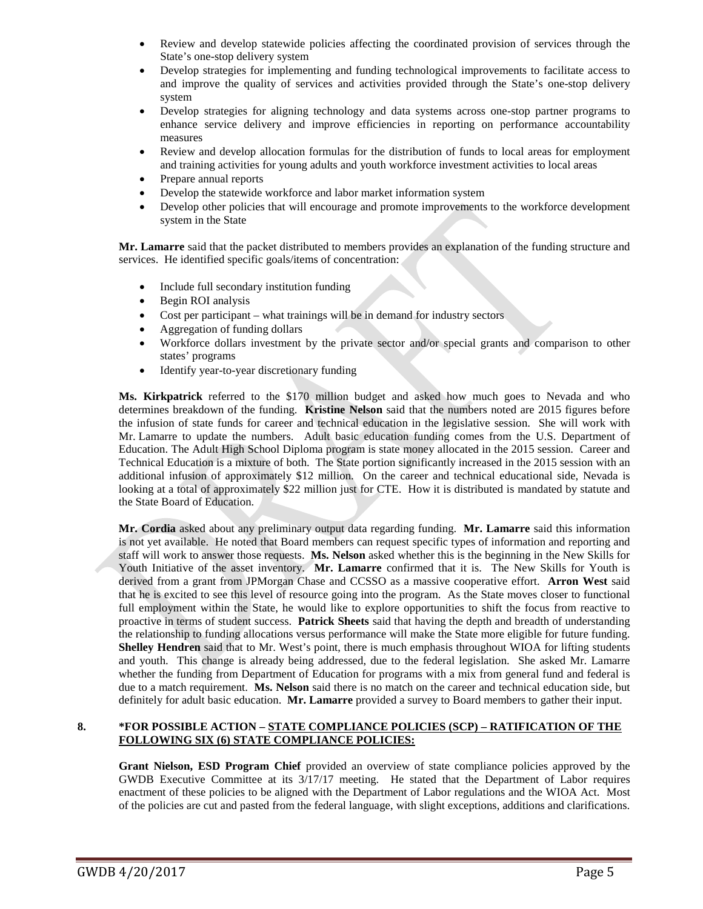- Review and develop statewide policies affecting the coordinated provision of services through the State's one-stop delivery system
- Develop strategies for implementing and funding technological improvements to facilitate access to and improve the quality of services and activities provided through the State's one-stop delivery system
- Develop strategies for aligning technology and data systems across one-stop partner programs to enhance service delivery and improve efficiencies in reporting on performance accountability measures
- Review and develop allocation formulas for the distribution of funds to local areas for employment and training activities for young adults and youth workforce investment activities to local areas
- Prepare annual reports
- Develop the statewide workforce and labor market information system
- Develop other policies that will encourage and promote improvements to the workforce development system in the State

**Mr. Lamarre** said that the packet distributed to members provides an explanation of the funding structure and services. He identified specific goals/items of concentration:

- Include full secondary institution funding
- Begin ROI analysis
- Cost per participant what trainings will be in demand for industry sectors
- Aggregation of funding dollars
- Workforce dollars investment by the private sector and/or special grants and comparison to other states' programs
- Identify year-to-year discretionary funding

**Ms. Kirkpatrick** referred to the \$170 million budget and asked how much goes to Nevada and who determines breakdown of the funding. **Kristine Nelson** said that the numbers noted are 2015 figures before the infusion of state funds for career and technical education in the legislative session. She will work with Mr. Lamarre to update the numbers. Adult basic education funding comes from the U.S. Department of Education. The Adult High School Diploma program is state money allocated in the 2015 session. Career and Technical Education is a mixture of both. The State portion significantly increased in the 2015 session with an additional infusion of approximately \$12 million. On the career and technical educational side, Nevada is looking at a total of approximately \$22 million just for CTE. How it is distributed is mandated by statute and the State Board of Education.

**Mr. Cordia** asked about any preliminary output data regarding funding. **Mr. Lamarre** said this information is not yet available. He noted that Board members can request specific types of information and reporting and staff will work to answer those requests. **Ms. Nelson** asked whether this is the beginning in the New Skills for Youth Initiative of the asset inventory. **Mr. Lamarre** confirmed that it is. The New Skills for Youth is derived from a grant from JPMorgan Chase and CCSSO as a massive cooperative effort. **Arron West** said that he is excited to see this level of resource going into the program. As the State moves closer to functional full employment within the State, he would like to explore opportunities to shift the focus from reactive to proactive in terms of student success. **Patrick Sheets** said that having the depth and breadth of understanding the relationship to funding allocations versus performance will make the State more eligible for future funding. **Shelley Hendren** said that to Mr. West's point, there is much emphasis throughout WIOA for lifting students and youth. This change is already being addressed, due to the federal legislation. She asked Mr. Lamarre whether the funding from Department of Education for programs with a mix from general fund and federal is due to a match requirement. **Ms. Nelson** said there is no match on the career and technical education side, but definitely for adult basic education. **Mr. Lamarre** provided a survey to Board members to gather their input.

#### **8. \*FOR POSSIBLE ACTION – STATE COMPLIANCE POLICIES (SCP) – RATIFICATION OF THE FOLLOWING SIX (6) STATE COMPLIANCE POLICIES:**

**Grant Nielson, ESD Program Chief** provided an overview of state compliance policies approved by the GWDB Executive Committee at its 3/17/17 meeting. He stated that the Department of Labor requires enactment of these policies to be aligned with the Department of Labor regulations and the WIOA Act. Most of the policies are cut and pasted from the federal language, with slight exceptions, additions and clarifications.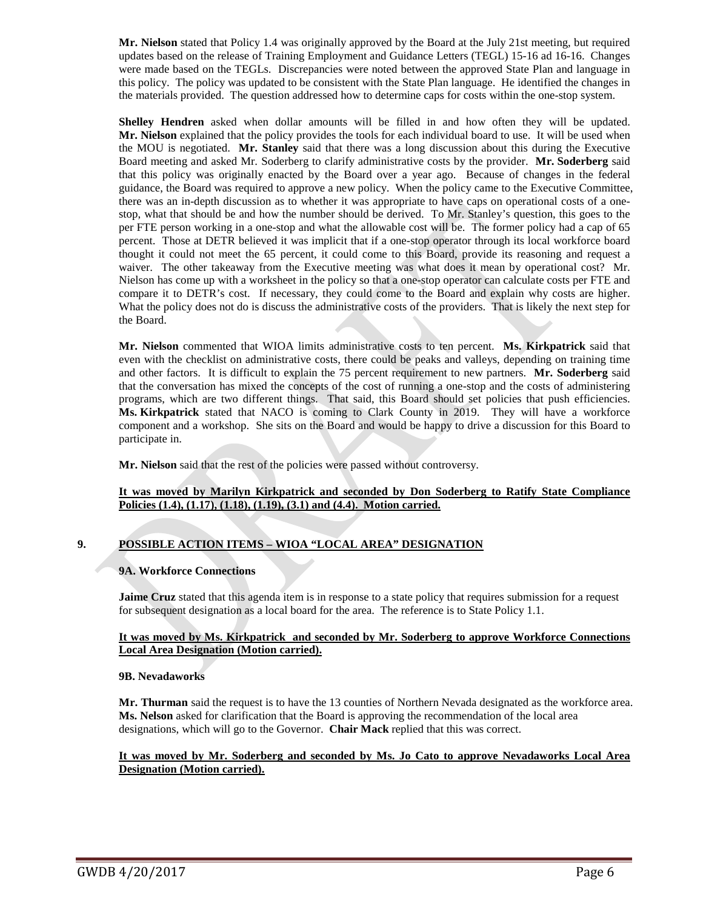**Mr. Nielson** stated that Policy 1.4 was originally approved by the Board at the July 21st meeting, but required updates based on the release of Training Employment and Guidance Letters (TEGL) 15-16 ad 16-16. Changes were made based on the TEGLs. Discrepancies were noted between the approved State Plan and language in this policy. The policy was updated to be consistent with the State Plan language. He identified the changes in the materials provided. The question addressed how to determine caps for costs within the one-stop system.

**Shelley Hendren** asked when dollar amounts will be filled in and how often they will be updated. **Mr. Nielson** explained that the policy provides the tools for each individual board to use. It will be used when the MOU is negotiated. **Mr. Stanley** said that there was a long discussion about this during the Executive Board meeting and asked Mr. Soderberg to clarify administrative costs by the provider. **Mr. Soderberg** said that this policy was originally enacted by the Board over a year ago. Because of changes in the federal guidance, the Board was required to approve a new policy. When the policy came to the Executive Committee, there was an in-depth discussion as to whether it was appropriate to have caps on operational costs of a onestop, what that should be and how the number should be derived. To Mr. Stanley's question, this goes to the per FTE person working in a one-stop and what the allowable cost will be. The former policy had a cap of 65 percent. Those at DETR believed it was implicit that if a one-stop operator through its local workforce board thought it could not meet the 65 percent, it could come to this Board, provide its reasoning and request a waiver. The other takeaway from the Executive meeting was what does it mean by operational cost? Mr. Nielson has come up with a worksheet in the policy so that a one-stop operator can calculate costs per FTE and compare it to DETR's cost. If necessary, they could come to the Board and explain why costs are higher. What the policy does not do is discuss the administrative costs of the providers. That is likely the next step for the Board.

**Mr. Nielson** commented that WIOA limits administrative costs to ten percent. **Ms. Kirkpatrick** said that even with the checklist on administrative costs, there could be peaks and valleys, depending on training time and other factors. It is difficult to explain the 75 percent requirement to new partners. **Mr. Soderberg** said that the conversation has mixed the concepts of the cost of running a one-stop and the costs of administering programs, which are two different things. That said, this Board should set policies that push efficiencies. **Ms. Kirkpatrick** stated that NACO is coming to Clark County in 2019. They will have a workforce component and a workshop. She sits on the Board and would be happy to drive a discussion for this Board to participate in.

**Mr. Nielson** said that the rest of the policies were passed without controversy.

#### **It was moved by Marilyn Kirkpatrick and seconded by Don Soderberg to Ratify State Compliance Policies (1.4), (1.17), (1.18), (1.19), (3.1) and (4.4). Motion carried.**

### **9. POSSIBLE ACTION ITEMS – WIOA "LOCAL AREA" DESIGNATION**

#### **9A. Workforce Connections**

**Jaime Cruz** stated that this agenda item is in response to a state policy that requires submission for a request for subsequent designation as a local board for the area. The reference is to State Policy 1.1.

#### **It was moved by Ms. Kirkpatrick and seconded by Mr. Soderberg to approve Workforce Connections Local Area Designation (Motion carried).**

#### **9B. Nevadaworks**

**Mr. Thurman** said the request is to have the 13 counties of Northern Nevada designated as the workforce area. **Ms. Nelson** asked for clarification that the Board is approving the recommendation of the local area designations, which will go to the Governor. **Chair Mack** replied that this was correct.

#### **It was moved by Mr. Soderberg and seconded by Ms. Jo Cato to approve Nevadaworks Local Area Designation (Motion carried).**